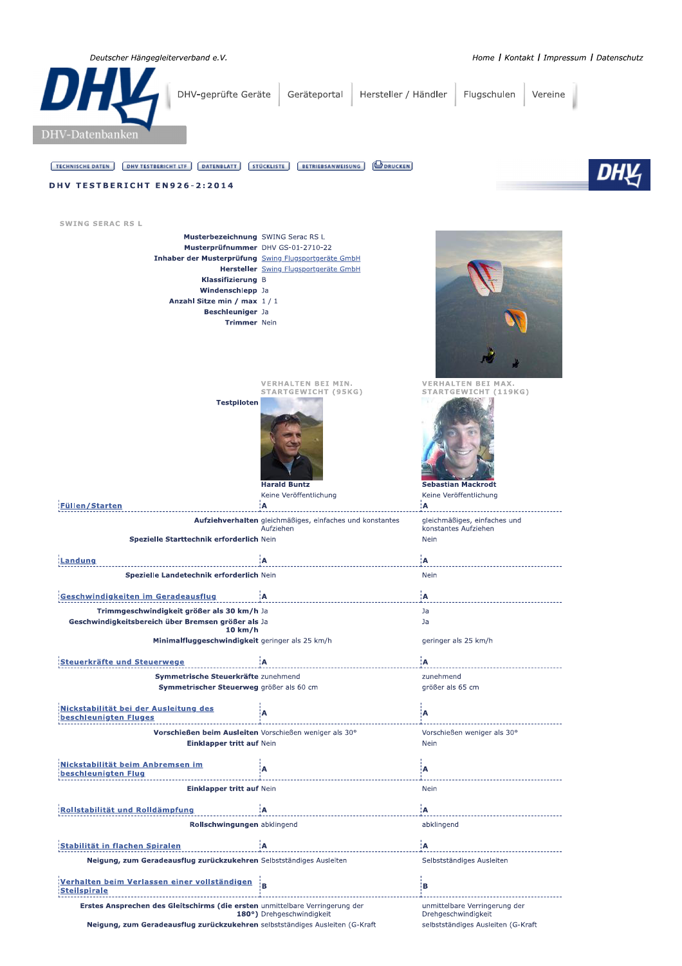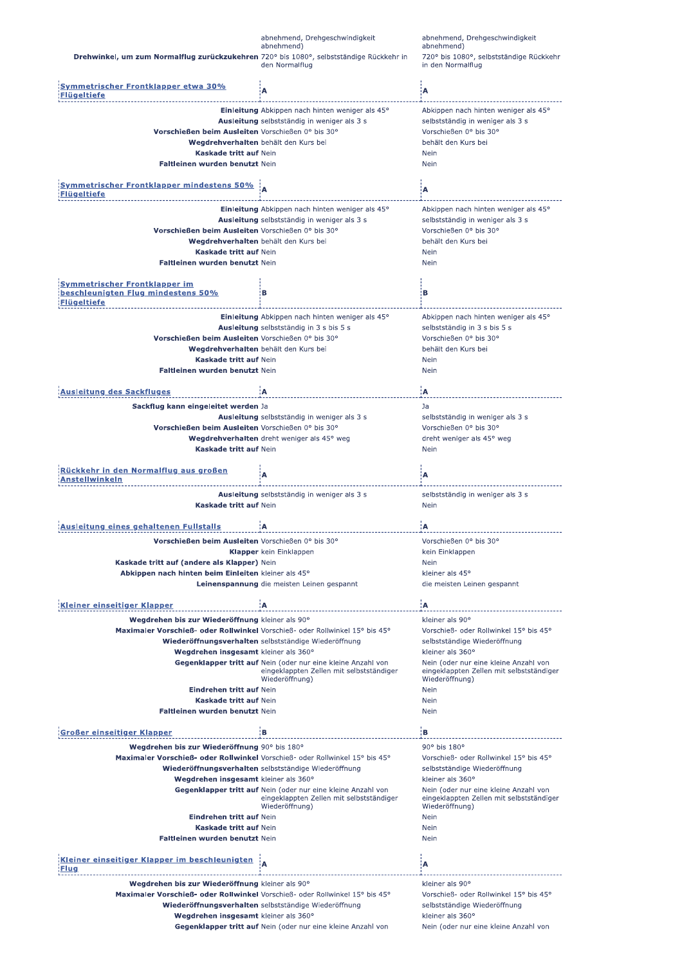|                                                                                           | abnehmend, Drehgeschwindigkeit<br>abnehmend)                                                                               | abnehmend, Drehgeschwindigkeit<br>abnehmend)                                                        |
|-------------------------------------------------------------------------------------------|----------------------------------------------------------------------------------------------------------------------------|-----------------------------------------------------------------------------------------------------|
| Drehwinkel, um zum Normalflug zurückzukehren 720° bis 1080°, selbstständige Rückkehr in   | den Normalflug                                                                                                             | 720° bis 1080°, selbstständige Rückkehr<br>in den Normalflug                                        |
| <u>Symmetrischer Frontklapper etwa 30%</u><br>ügeltiefe                                   | A                                                                                                                          | Α                                                                                                   |
|                                                                                           | Einleitung Abkippen nach hinten weniger als 45°                                                                            | Abkippen nach hinten weniger als 45°                                                                |
|                                                                                           | Ausleitung selbstständig in weniger als 3 s                                                                                | selbstständig in weniger als 3 s                                                                    |
| Vorschießen beim Ausleiten Vorschießen 0° bis 30°                                         |                                                                                                                            | Vorschießen 0° bis 30°                                                                              |
| Wegdrehverhalten behält den Kurs bei<br>Kaskade tritt auf Nein                            |                                                                                                                            | behält den Kurs bei<br>Nein                                                                         |
| Faltleinen wurden benutzt Nein                                                            |                                                                                                                            | Nein                                                                                                |
|                                                                                           |                                                                                                                            |                                                                                                     |
| <b>Symmetrischer Frontklapper mindestens 50%</b><br>Flügeltiefe                           |                                                                                                                            | įΑ                                                                                                  |
|                                                                                           | Einleitung Abkippen nach hinten weniger als 45°                                                                            | Abkippen nach hinten weniger als 45°                                                                |
|                                                                                           | Ausleitung selbstständig in weniger als 3 s                                                                                | selbstständig in weniger als 3 s                                                                    |
| Vorschießen beim Ausleiten Vorschießen 0° bis 30°<br>Wegdrehverhalten behält den Kurs bei |                                                                                                                            | Vorschießen 0° bis 30°<br>behält den Kurs bei                                                       |
| Kaskade tritt auf Nein                                                                    |                                                                                                                            | Nein                                                                                                |
| Faltleinen wurden benutzt Nein                                                            |                                                                                                                            | Nein                                                                                                |
| <b>Symmetrischer Frontklapper im</b>                                                      |                                                                                                                            |                                                                                                     |
| beschleunigten Flug mindestens 50%<br><b>Flügeltiefe</b>                                  | в                                                                                                                          | в                                                                                                   |
|                                                                                           | Einleitung Abkippen nach hinten weniger als 45°                                                                            | Abkippen nach hinten weniger als 45°                                                                |
|                                                                                           | Ausleitung selbstständig in 3 s bis 5 s                                                                                    | selbstständig in 3 s bis 5 s                                                                        |
| Vorschießen beim Ausleiten Vorschießen 0° bis 30°<br>Wegdrehverhalten behält den Kurs bei |                                                                                                                            | Vorschießen 0° bis 30°<br>behält den Kurs bei                                                       |
| Kaskade tritt auf Nein                                                                    |                                                                                                                            | <b>Nein</b>                                                                                         |
| Faltleinen wurden benutzt Nein                                                            |                                                                                                                            | <b>Nein</b>                                                                                         |
| usleitung des Sackfluges                                                                  | Α                                                                                                                          | ¦A.                                                                                                 |
| Sackflug kann eingeleitet werden Ja                                                       |                                                                                                                            | Ja                                                                                                  |
|                                                                                           | Ausleitung selbstständig in weniger als 3 s                                                                                | selbstständig in weniger als 3 s                                                                    |
| Vorschießen beim Ausleiten Vorschießen 0° bis 30°                                         |                                                                                                                            | Vorschießen 0° bis 30°                                                                              |
|                                                                                           | Wegdrehverhalten dreht weniger als 45° weg                                                                                 | dreht weniger als 45° weg                                                                           |
| Kaskade tritt auf Nein                                                                    |                                                                                                                            | Nein                                                                                                |
| <u>Rückkehr in den Normalflug aus großen</u><br>ıstellwinkeln                             | А                                                                                                                          | A                                                                                                   |
|                                                                                           |                                                                                                                            |                                                                                                     |
|                                                                                           | Ausleitung selbstständig in weniger als 3 s                                                                                | selbstständig in weniger als 3 s                                                                    |
| Kaskade tritt auf Nein                                                                    |                                                                                                                            | Nein                                                                                                |
| Ausleitung eines gehaltenen Fullstalls                                                    | Ά                                                                                                                          | A                                                                                                   |
|                                                                                           |                                                                                                                            |                                                                                                     |
| Vorschießen beim Ausleiten Vorschießen 0° bis 30°                                         | <b>Klapper</b> kein Einklappen                                                                                             | Vorschießen 0° bis 30°<br>kein Einklappen                                                           |
| Kaskade tritt auf (andere als Klapper) Nein                                               |                                                                                                                            | Nein                                                                                                |
| Abkippen nach hinten beim Einleiten kleiner als 45°                                       |                                                                                                                            | kleiner als 45°                                                                                     |
|                                                                                           | Leinenspannung die meisten Leinen gespannt                                                                                 | die meisten Leinen gespannt                                                                         |
| Kleiner einseitiger Klapper                                                               | ۱A                                                                                                                         | ¦A                                                                                                  |
| Wegdrehen bis zur Wiederöffnung kleiner als 90°                                           |                                                                                                                            | kleiner als 90°                                                                                     |
| Maximaler Vorschieß- oder Rollwinkel Vorschieß- oder Rollwinkel 15° bis 45°               |                                                                                                                            | Vorschieß- oder Rollwinkel 15° bis 45°                                                              |
|                                                                                           | Wiederöffnungsverhalten selbstständige Wiederöffnung                                                                       | selbstständige Wiederöffnung                                                                        |
| Wegdrehen insgesamt kleiner als 360°                                                      |                                                                                                                            | kleiner als 360°                                                                                    |
|                                                                                           | Gegenklapper tritt auf Nein (oder nur eine kleine Anzahl von<br>eingeklappten Zellen mit selbstständiger<br>Wiederöffnung) | Nein (oder nur eine kleine Anzahl von<br>eingeklappten Zellen mit selbstständiger<br>Wiederöffnung) |
| Eindrehen tritt auf Nein                                                                  |                                                                                                                            | Nein                                                                                                |
| <b>Kaskade tritt auf Nein</b>                                                             |                                                                                                                            | Nein                                                                                                |
| Faltleinen wurden benutzt Nein                                                            |                                                                                                                            | <b>Nein</b>                                                                                         |
| Großer einseitiger Klapper                                                                | ΕВ                                                                                                                         | ίВ.                                                                                                 |
| Wegdrehen bis zur Wiederöffnung 90° bis 180°                                              |                                                                                                                            | 90° bis 180°                                                                                        |
| Maximaler Vorschieß- oder Rollwinkel Vorschieß- oder Rollwinkel 15° bis 45°               |                                                                                                                            | Vorschieß- oder Rollwinkel 15° bis 45°                                                              |
| Wegdrehen insgesamt kleiner als 360°                                                      | Wiederöffnungsverhalten selbstständige Wiederöffnung                                                                       | selbstständige Wiederöffnung<br>kleiner als 360°                                                    |
|                                                                                           | Gegenklapper tritt auf Nein (oder nur eine kleine Anzahl von                                                               | Nein (oder nur eine kleine Anzahl von                                                               |
|                                                                                           | eingeklappten Zellen mit selbstständiger<br>Wiederöffnung)                                                                 | eingeklappten Zellen mit selbstständiger<br>Wiederöffnung)                                          |
| Eindrehen tritt auf Nein                                                                  |                                                                                                                            | Nein                                                                                                |
| Kaskade tritt auf Nein                                                                    |                                                                                                                            | Nein                                                                                                |
| Faltleinen wurden benutzt Nein                                                            |                                                                                                                            | Nein                                                                                                |
| Kleiner einseitiger Klapper im beschleunigten                                             |                                                                                                                            |                                                                                                     |
| <u>Flug</u>                                                                               | A                                                                                                                          | A                                                                                                   |
| Wegdrehen bis zur Wiederöffnung kleiner als 90°                                           |                                                                                                                            | kleiner als 90°                                                                                     |
| Maximaler Vorschieß- oder Rollwinkel Vorschieß- oder Rollwinkel 15° bis 45°               |                                                                                                                            | Vorschieß- oder Rollwinkel 15° bis 45°                                                              |
| Wegdrehen insgesamt kleiner als 360°                                                      | Wiederöffnungsverhalten selbstständige Wiederöffnung                                                                       | selbstständige Wiederöffnung<br>kleiner als 360°                                                    |